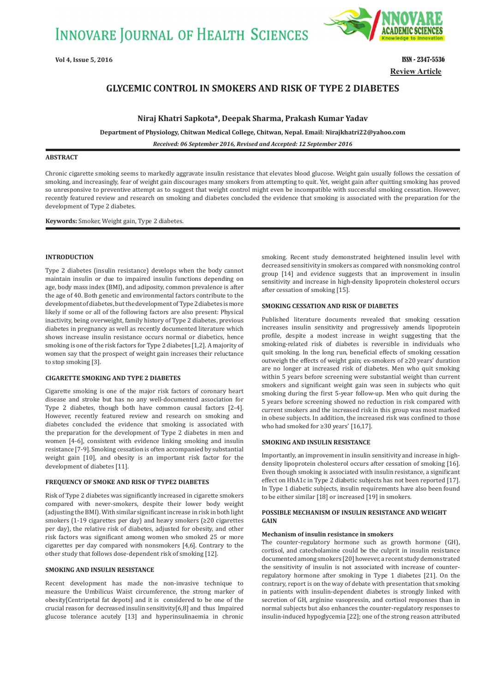

**Review Article**

# **GLYCEMIC CONTROL IN SMOKERS AND RISK OF TYPE 2 DIABETES**

**Niraj Khatri Sapkota\*, Deepak Sharma, Prakash Kumar Yadav**

**Department of Physiology, Chitwan Medical College, Chitwan, Nepal. Email: Nirajkhatri22@yahoo.com**

*Received: 06 September 2016, Revised and Accepted: 12 September 2016*

# **ABSTRACT**

Chronic cigarette smoking seems to markedly aggravate insulin resistance that elevates blood glucose. Weight gain usually follows the cessation of smoking, and increasingly, fear of weight gain discourages many smokers from attempting to quit. Yet, weight gain after quitting smoking has proved so unresponsive to preventive attempt as to suggest that weight control might even be incompatible with successful smoking cessation. However, recently featured review and research on smoking and diabetes concluded the evidence that smoking is associated with the preparation for the development of Type 2 diabetes.

**Keywords:** Smoker, Weight gain, Type 2 diabetes.

## **INTRODUCTION**

Type 2 diabetes (insulin resistance) develops when the body cannot maintain insulin or due to impaired insulin functions depending on age, body mass index (BMI), and adiposity, common prevalence is after the age of 40. Both genetic and environmental factors contribute to the development of diabetes, but the development of Type 2 diabetes is more likely if some or all of the following factors are also present: Physical inactivity, being overweight, family history of Type 2 diabetes, previous diabetes in pregnancy as well as recently documented literature which shows increase insulin resistance occurs normal or diabetics, hence smoking is one of the risk factors for Type 2 diabetes [1,2]. A majority of women say that the prospect of weight gain increases their reluctance to stop smoking [3].

# **CIGARETTE SMOKING AND TYPE 2 DIABETES**

Cigarette smoking is one of the major risk factors of coronary heart disease and stroke but has no any well-documented association for Type 2 diabetes, though both have common causal factors [2-4]. However, recently featured review and research on smoking and diabetes concluded the evidence that smoking is associated with the preparation for the development of Type 2 diabetes in men and women [4-6], consistent with evidence linking smoking and insulin resistance [7-9]. Smoking cessation is often accompanied by substantial weight gain [10], and obesity is an important risk factor for the development of diabetes [11].

#### **FREQUENCY OF SMOKE AND RISK OF TYPE2 DIABETES**

Risk of Type 2 diabetes was significantly increased in cigarette smokers compared with never-smokers, despite their lower body weight (adjusting the BMI). With similar significant increase in risk in both light smokers (1-19 cigarettes per day) and heavy smokers (≥20 cigarettes per day), the relative risk of diabetes, adjusted for obesity, and other risk factors was significant among women who smoked 25 or more cigarettes per day compared with nonsmokers [4,6]. Contrary to the other study that follows dose-dependent risk of smoking [12].

#### **SMOKING AND INSULIN RESISTANCE**

Recent development has made the non-invasive technique to measure the Umbilicus Waist circumference, the strong marker of obesity[Centripetal fat depots] and it is considered to be one of the crucial reason for decreased insulin sensitivity[6,8] and thus Impaired glucose tolerance acutely [13] and hyperinsulinaemia in chronic smoking. Recent study demonstrated heightened insulin level with decreased sensitivity in smokers as compared with nonsmoking control group [14] and evidence suggests that an improvement in insulin sensitivity and increase in high-density lipoprotein cholesterol occurs after cessation of smoking [15].

#### **SMOKING CESSATION AND RISK OF DIABETES**

Published literature documents revealed that smoking cessation increases insulin sensitivity and progressively amends lipoprotein profile, despite a modest increase in weight suggesting that the smoking-related risk of diabetes is reversible in individuals who quit smoking. In the long run, beneficial effects of smoking cessation outweigh the effects of weight gain; ex-smokers of ≥20 years' duration are no longer at increased risk of diabetes. Men who quit smoking within 5 years before screening were substantial weight than current smokers and significant weight gain was seen in subjects who quit smoking during the first 5-year follow-up. Men who quit during the 5 years before screening showed no reduction in risk compared with current smokers and the increased risk in this group was most marked in obese subjects. In addition, the increased risk was confined to those who had smoked for ≥30 years' [16,17].

#### **SMOKING AND INSULIN RESISTANCE**

Importantly, an improvement in insulin sensitivity and increase in highdensity lipoprotein cholesterol occurs after cessation of smoking [16]. Even though smoking is associated with insulin resistance, a significant effect on HbA1c in Type 2 diabetic subjects has not been reported [17]. In Type 1 diabetic subjects, insulin requirements have also been found to be either similar [18] or increased [19] in smokers.

## **POSSIBLE MECHANISM OF INSULIN RESISTANCE AND WEIGHT GAIN**

#### **Mechanism of insulin resistance in smokers**

The counter-regulatory hormone such as growth hormone (GH), cortisol, and catecholamine could be the culprit in insulin resistance documented among smokers [20] however, a recent study demonstrated the sensitivity of insulin is not associated with increase of counterregulatory hormone after smoking in Type 1 diabetes [21]. On the contrary, report is on the way of debate with presentation that smoking in patients with insulin-dependent diabetes is strongly linked with secretion of GH, arginine vasopressin, and cortisol responses than in normal subjects but also enhances the counter-regulatory responses to insulin-induced hypoglycemia [22]; one of the strong reason attributed